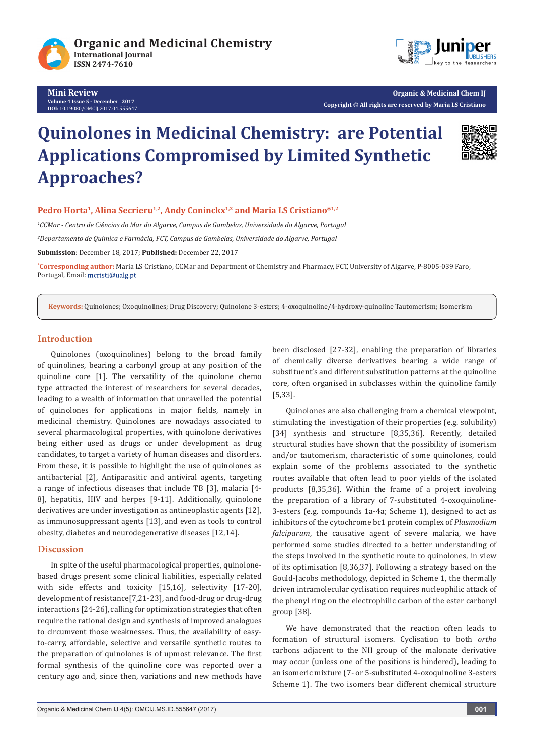

**Mini Review Volume 4 Issue 5 - December 2017 DOI:** [10.19080/OMCIJ.2017.04.555647](http://dx.doi.org/10.19080/omcij.2017.04.555647)



**Organic & Medicinal Chem IJ Copyright © All rights are reserved by Maria LS Cristiano**

# **Quinolones in Medicinal Chemistry: are Potential Applications Compromised by Limited Synthetic Approaches?**



## Pedro Horta<sup>1</sup>, Alina Secrieru<sup>1,2</sup>, Andy Coninckx<sup>1,2</sup> and Maria LS Cristiano<sup>\*1,2</sup>

*1 CCMar - Centro de Ciências do Mar do Algarve, Campus de Gambelas, Universidade do Algarve, Portugal 2 Departamento de Química e Farmácia, FCT, Campus de Gambelas, Universidade do Algarve, Portugal*

**Submission**: December 18, 2017; **Published:** December 22, 2017

**\* Corresponding author:** Maria LS Cristiano, CCMar and Department of Chemistry and Pharmacy, FCT, University of Algarve, P-8005-039 Faro, Portugal, Email:

**Keywords:** Quinolones; Oxoquinolines; Drug Discovery; Quinolone 3-esters; 4-oxoquinoline/4-hydroxy-quinoline Tautomerism; Isomerism

# **Introduction**

Quinolones (oxoquinolines) belong to the broad family of quinolines, bearing a carbonyl group at any position of the quinoline core [1]. The versatility of the quinolone chemo type attracted the interest of researchers for several decades, leading to a wealth of information that unravelled the potential of quinolones for applications in major fields, namely in medicinal chemistry. Quinolones are nowadays associated to several pharmacological properties, with quinolone derivatives being either used as drugs or under development as drug candidates, to target a variety of human diseases and disorders. From these, it is possible to highlight the use of quinolones as antibacterial [2], Antiparasitic and antiviral agents, targeting a range of infectious diseases that include TB [3], malaria [4- 8], hepatitis, HIV and herpes [9-11]. Additionally, quinolone derivatives are under investigation as antineoplastic agents [12], as immunosuppressant agents [13], and even as tools to control obesity, diabetes and neurodegenerative diseases [12,14].

## **Discussion**

In spite of the useful pharmacological properties, quinolonebased drugs present some clinical liabilities, especially related with side effects and toxicity [15,16], selectivity [17-20], development of resistance[7,21-23], and food-drug or drug-drug interactions [24-26], calling for optimization strategies that often require the rational design and synthesis of improved analogues to circumvent those weaknesses. Thus, the availability of easyto-carry, affordable, selective and versatile synthetic routes to the preparation of quinolones is of upmost relevance. The first formal synthesis of the quinoline core was reported over a century ago and, since then, variations and new methods have been disclosed [27-32], enabling the preparation of libraries of chemically diverse derivatives bearing a wide range of substituent's and different substitution patterns at the quinoline core, often organised in subclasses within the quinoline family [5,33].

Quinolones are also challenging from a chemical viewpoint, stimulating the investigation of their properties (e.g. solubility) [34] synthesis and structure [8,35,36]. Recently, detailed structural studies have shown that the possibility of isomerism and/or tautomerism, characteristic of some quinolones, could explain some of the problems associated to the synthetic routes available that often lead to poor yields of the isolated products [8,35,36]. Within the frame of a project involving the preparation of a library of 7-substituted 4-oxoquinoline-3-esters (e.g. compounds 1a-4a; Scheme 1), designed to act as inhibitors of the cytochrome bc1 protein complex of *Plasmodium falciparum*, the causative agent of severe malaria, we have performed some studies directed to a better understanding of the steps involved in the synthetic route to quinolones, in view of its optimisation [8,36,37]. Following a strategy based on the Gould-Jacobs methodology, depicted in Scheme 1, the thermally driven intramolecular cyclisation requires nucleophilic attack of the phenyl ring on the electrophilic carbon of the ester carbonyl group [38].

We have demonstrated that the reaction often leads to formation of structural isomers. Cyclisation to both *ortho* carbons adjacent to the NH group of the malonate derivative may occur (unless one of the positions is hindered), leading to an isomeric mixture (7- or 5-substituted 4-oxoquinoline 3-esters Scheme 1). The two isomers bear different chemical structure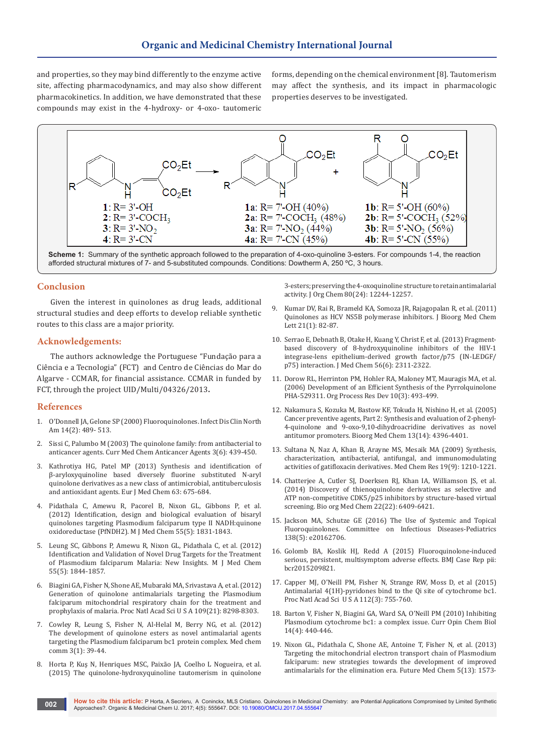and properties, so they may bind differently to the enzyme active site, affecting pharmacodynamics, and may also show different pharmacokinetics. In addition, we have demonstrated that these compounds may exist in the 4-hydroxy- or 4-oxo- tautomeric

forms, depending on the chemical environment [8]. Tautomerism may affect the synthesis, and its impact in pharmacologic properties deserves to be investigated.



**Scheme 1:** Summary of the synthetic approach followed to the preparation of 4-oxo-quinoline 3-esters. For compounds 1-4, the reaction afforded structural mixtures of 7- and 5-substituted compounds. Conditions: Dowtherm A, 250 ºC, 3 hours.

## **Conclusion**

Given the interest in quinolones as drug leads, additional structural studies and deep efforts to develop reliable synthetic routes to this class are a major priority.

#### **Acknowledgements:**

The authors acknowledge the Portuguese "Fundação para a Ciência e a Tecnologia" (FCT) and Centro de Ciências do Mar do Algarve - CCMAR, for financial assistance. CCMAR in funded by FCT, through the project UID/Multi/04326/2013**.**

#### **References**

- 1. O'Donnell JA, Gelone SP (2000) Fluoroquinolones. Infect Dis Clin North Am 14(2): 489- 513.
- 2. [Sissi C, Palumbo M \(2003\) The quinolone family: from antibacterial to](https://www.ncbi.nlm.nih.gov/pubmed/14529452)  [anticancer agents. Curr Med Chem Anticancer Agents 3\(6\): 439-450.](https://www.ncbi.nlm.nih.gov/pubmed/14529452)
- 3. [Kathrotiya HG, Patel MP \(2013\) Synthesis and identification of](https://www.ncbi.nlm.nih.gov/pubmed/23567957)  [β-aryloxyquinoline based diversely fluorine substituted N-aryl](https://www.ncbi.nlm.nih.gov/pubmed/23567957)  [quinolone derivatives as a new class of antimicrobial, antituberculosis](https://www.ncbi.nlm.nih.gov/pubmed/23567957)  [and antioxidant agents. Eur J Med Chem 63: 675-684.](https://www.ncbi.nlm.nih.gov/pubmed/23567957)
- 4. [Pidathala C, Amewu R, Pacorel B, Nixon GL, Gibbons P, et al.](http://pubs.acs.org/doi/abs/10.1021/jm201179h)  [\(2012\) Identification, design and biological evaluation of bisaryl](http://pubs.acs.org/doi/abs/10.1021/jm201179h)  [quinolones targeting Plasmodium falciparum type II NADH:quinone](http://pubs.acs.org/doi/abs/10.1021/jm201179h)  [oxidoreductase \(PfNDH2\). M J Med Chem 55\(5\): 1831-1843.](http://pubs.acs.org/doi/abs/10.1021/jm201179h)
- 5. [Leung SC, Gibbons P, Amewu R, Nixon GL, Pidathala C, et al. \(2012\)](https://www.researchgate.net/publication/311365329_Identification_and_Validation_of_Novel_Drug_Targets_for_the_Treatment_of_Plasmodium_falciparum_Malaria_New_Insights)  [Identification and Validation of Novel Drug Targets for the Treatment](https://www.researchgate.net/publication/311365329_Identification_and_Validation_of_Novel_Drug_Targets_for_the_Treatment_of_Plasmodium_falciparum_Malaria_New_Insights)  [of Plasmodium falciparum Malaria: New Insights. M J Med Chem](https://www.researchgate.net/publication/311365329_Identification_and_Validation_of_Novel_Drug_Targets_for_the_Treatment_of_Plasmodium_falciparum_Malaria_New_Insights)  [55\(5\): 1844-1857.](https://www.researchgate.net/publication/311365329_Identification_and_Validation_of_Novel_Drug_Targets_for_the_Treatment_of_Plasmodium_falciparum_Malaria_New_Insights)
- 6. [Biagini GA, Fisher N, Shone AE, Mubaraki MA, Srivastava A, et al. \(2012\)](https://www.ncbi.nlm.nih.gov/pubmed/22566611)  [Generation of quinolone antimalarials targeting the Plasmodium](https://www.ncbi.nlm.nih.gov/pubmed/22566611)  [falciparum mitochondrial respiratory chain for the treatment and](https://www.ncbi.nlm.nih.gov/pubmed/22566611)  [prophylaxis of malaria. Proc Natl Acad Sci U S A 109\(21\): 8298-8303.](https://www.ncbi.nlm.nih.gov/pubmed/22566611)
- 7. Cowley R, Leung S, Fisher N, Al-Helal M, Berry NG, et al. (2012) The development of quinolone esters as novel antimalarial agents targeting the Plasmodium falciparum bc1 protein complex. Med chem comm 3(1): 39-44.
- 8. [Horta P, Kuş N, Henriques MSC, Paixão JA, Coelho L Nogueira, et al.](http://pubs.acs.org/doi/abs/10.1021/acs.joc.5b02169)  [\(2015\) The quinolone-hydroxyquinoline tautomerism in quinolone](http://pubs.acs.org/doi/abs/10.1021/acs.joc.5b02169)

[3-esters; preserving the 4-oxoquinoline structure to retain antimalarial](http://pubs.acs.org/doi/abs/10.1021/acs.joc.5b02169)  [activity. J Org Chem 80\(24\): 12244-12257.](http://pubs.acs.org/doi/abs/10.1021/acs.joc.5b02169)

- 9. [Kumar DV, Rai R, Brameld KA, Somoza JR, Rajagopalan R, et al. \(2011\)](https://ucdavis.pure.elsevier.com/en/publications/quinolones-as-hcv-ns5b-polymerase-inhibitors)  [Quinolones as HCV NS5B polymerase inhibitors. J Bioorg Med Chem](https://ucdavis.pure.elsevier.com/en/publications/quinolones-as-hcv-ns5b-polymerase-inhibitors)  [Lett 21\(1\): 82-87.](https://ucdavis.pure.elsevier.com/en/publications/quinolones-as-hcv-ns5b-polymerase-inhibitors)
- 10. [Serrao E, Debnath B, Otake H, Kuang Y, Christ F, et al. \(2013\) Fragment](https://www.ncbi.nlm.nih.gov/pubmed/23445471)[based discovery of 8-hydroxyquinoline inhibitors of the HIV-1](https://www.ncbi.nlm.nih.gov/pubmed/23445471)  [integrase-lens epithelium-derived growth factor/p75 \(IN-LEDGF/](https://www.ncbi.nlm.nih.gov/pubmed/23445471) [p75\) interaction. J Med Chem 56\(6\): 2311-2322.](https://www.ncbi.nlm.nih.gov/pubmed/23445471)
- 11. [Dorow RL, Herrinton PM, Hohler RA, Maloney MT, Mauragis MA, et al.](http://pubs.acs.org/doi/abs/10.1021/op050251y)  [\(2006\) Development of an Efficient Synthesis of the Pyrrolquinolone](http://pubs.acs.org/doi/abs/10.1021/op050251y)  [PHA-529311. Org Process Res Dev 10\(3\): 493-499.](http://pubs.acs.org/doi/abs/10.1021/op050251y)
- 12. [Nakamura S, Kozuka M, Bastow KF, Tokuda H, Nishino H, et al. \(2005\)](https://uncch.pure.elsevier.com/en/publications/cancer-preventive-agents-part-2-synthesis-and-evaluation-of-2-phe)  [Cancer preventive agents, Part 2: Synthesis and evaluation of 2-phenyl-](https://uncch.pure.elsevier.com/en/publications/cancer-preventive-agents-part-2-synthesis-and-evaluation-of-2-phe)[4-quinolone and 9-oxo-9,10-dihydroacridine derivatives as novel](https://uncch.pure.elsevier.com/en/publications/cancer-preventive-agents-part-2-synthesis-and-evaluation-of-2-phe)  [antitumor promoters. Bioorg Med Chem 13\(14\): 4396-4401.](https://uncch.pure.elsevier.com/en/publications/cancer-preventive-agents-part-2-synthesis-and-evaluation-of-2-phe)
- 13. [Sultana N, Naz A, Khan B, Arayne MS, Mesaik MA \(2009\) Synthesis,](https://link.springer.com/article/10.1007%2Fs00044-009-9264-y)  [characterization, antibacterial, antifungal, and immunomodulating](https://link.springer.com/article/10.1007%2Fs00044-009-9264-y)  [activities of gatifloxacin derivatives. Med Chem Res 19\(9\): 1210-1221.](https://link.springer.com/article/10.1007%2Fs00044-009-9264-y)
- 14. [Chatterjee A, Cutler SJ, Doerksen RJ, Khan IA, Williamson JS, et al.](https://www.ncbi.nlm.nih.gov/pubmed/25438765)  [\(2014\) Discovery of thienoquinolone derivatives as selective and](https://www.ncbi.nlm.nih.gov/pubmed/25438765)  [ATP non-competitive CDK5/p25 inhibitors by structure-based virtual](https://www.ncbi.nlm.nih.gov/pubmed/25438765)  [screening. Bio org Med Chem 22\(22\): 6409-6421.](https://www.ncbi.nlm.nih.gov/pubmed/25438765)
- 15. [Jackson MA, Schutze GE \(2016\) The Use of Systemic and Topical](http://pediatrics.aappublications.org/content/138/5/e20162706)  [Fluoroquinolones. Committee on Infectious Diseases-Pediatrics](http://pediatrics.aappublications.org/content/138/5/e20162706)  [138\(5\): e20162706.](http://pediatrics.aappublications.org/content/138/5/e20162706)
- 16. [Golomb BA, Koslik HJ, Redd A \(2015\) Fluoroquinolone-induced](https://www.ncbi.nlm.nih.gov/pubmed/26438672)  [serious, persistent, multisymptom adverse effects. BMJ Case Rep pii:](https://www.ncbi.nlm.nih.gov/pubmed/26438672)  [bcr2015209821.](https://www.ncbi.nlm.nih.gov/pubmed/26438672)
- 17. [Capper MJ, O'Neill PM, Fisher N, Strange RW, Moss D, et al \(2015\)](https://www.ncbi.nlm.nih.gov/pubmed/25564664)  [Antimalarial 4\(1H\)-pyridones bind to the Qi site of cytochrome bc1.](https://www.ncbi.nlm.nih.gov/pubmed/25564664)  [Proc Natl Acad Sci U S A 112\(3\): 755-760.](https://www.ncbi.nlm.nih.gov/pubmed/25564664)
- 18. [Barton V, Fisher N, Biagini GA, Ward SA, O'Neill PM \(2010\) Inhibiting](https://www.ncbi.nlm.nih.gov/pubmed/20570550)  [Plasmodium cytochrome bc1: a complex issue. Curr Opin Chem Biol](https://www.ncbi.nlm.nih.gov/pubmed/20570550)  [14\(4\): 440-446.](https://www.ncbi.nlm.nih.gov/pubmed/20570550)
- 19. [Nixon GL, Pidathala C, Shone AE, Antoine T, Fisher N, et al. \(2013\)](https://www.ncbi.nlm.nih.gov/pubmed/24024949)  [Targeting the mitochondrial electron transport chain of Plasmodium](https://www.ncbi.nlm.nih.gov/pubmed/24024949)  [falciparum: new strategies towards the development of improved](https://www.ncbi.nlm.nih.gov/pubmed/24024949)  [antimalarials for the elimination era. Future Med Chem 5\(13\): 1573-](https://www.ncbi.nlm.nih.gov/pubmed/24024949)